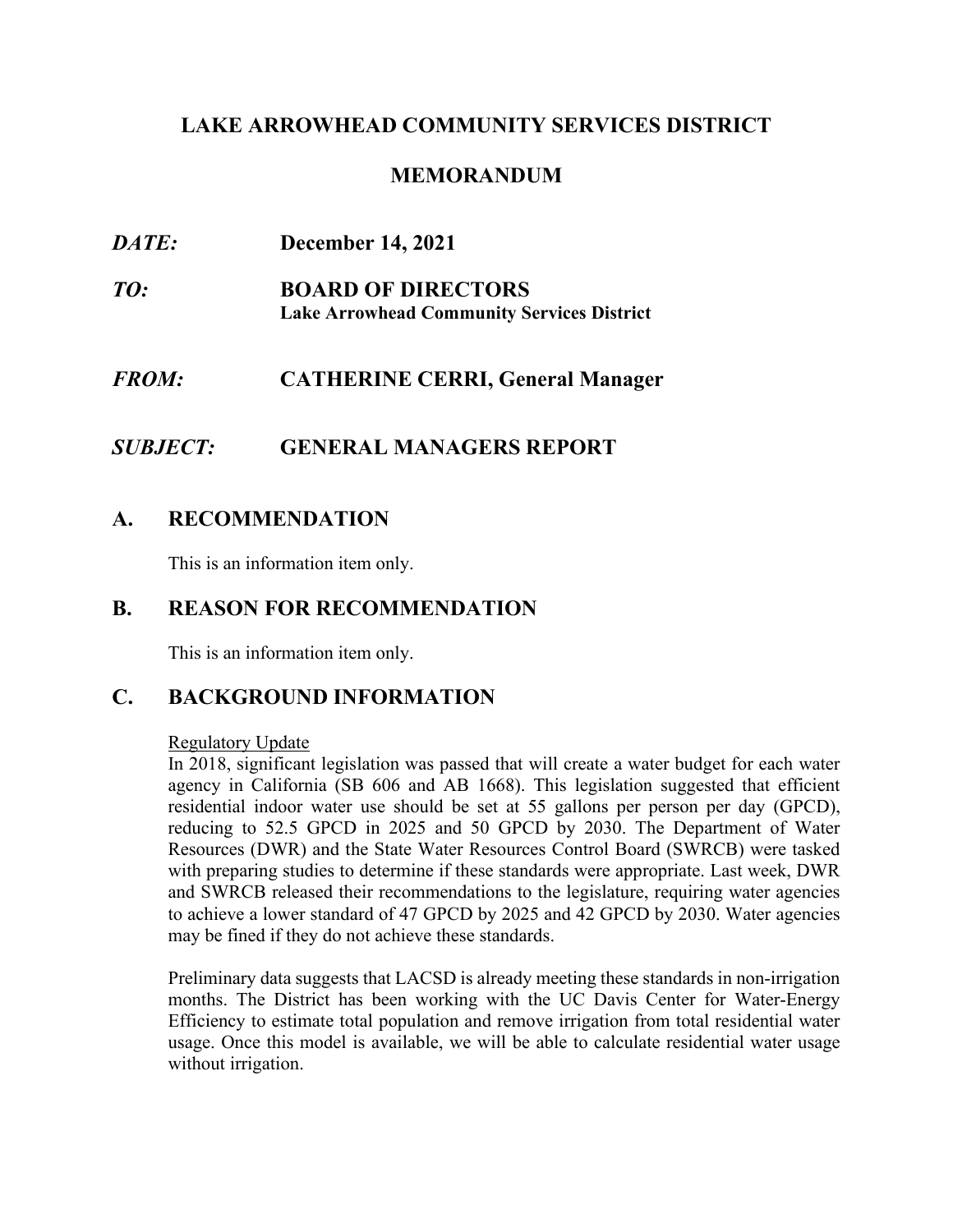# **LAKE ARROWHEAD COMMUNITY SERVICES DISTRICT**

### **MEMORANDUM**

| <i>DATE:</i> | <b>December 14, 2021</b>                                                       |
|--------------|--------------------------------------------------------------------------------|
| TO:          | <b>BOARD OF DIRECTORS</b><br><b>Lake Arrowhead Community Services District</b> |
| <i>FROM:</i> | <b>CATHERINE CERRI, General Manager</b>                                        |
|              |                                                                                |

# *SUBJECT:* **GENERAL MANAGERS REPORT**

# **A. RECOMMENDATION**

This is an information item only.

### **B. REASON FOR RECOMMENDATION**

This is an information item only.

# **C. BACKGROUND INFORMATION**

#### Regulatory Update

In 2018, significant legislation was passed that will create a water budget for each water agency in California (SB 606 and AB 1668). This legislation suggested that efficient residential indoor water use should be set at 55 gallons per person per day (GPCD), reducing to 52.5 GPCD in 2025 and 50 GPCD by 2030. The Department of Water Resources (DWR) and the State Water Resources Control Board (SWRCB) were tasked with preparing studies to determine if these standards were appropriate. Last week, DWR and SWRCB released their recommendations to the legislature, requiring water agencies to achieve a lower standard of 47 GPCD by 2025 and 42 GPCD by 2030. Water agencies may be fined if they do not achieve these standards.

Preliminary data suggests that LACSD is already meeting these standards in non-irrigation months. The District has been working with the UC Davis Center for Water-Energy Efficiency to estimate total population and remove irrigation from total residential water usage. Once this model is available, we will be able to calculate residential water usage without irrigation.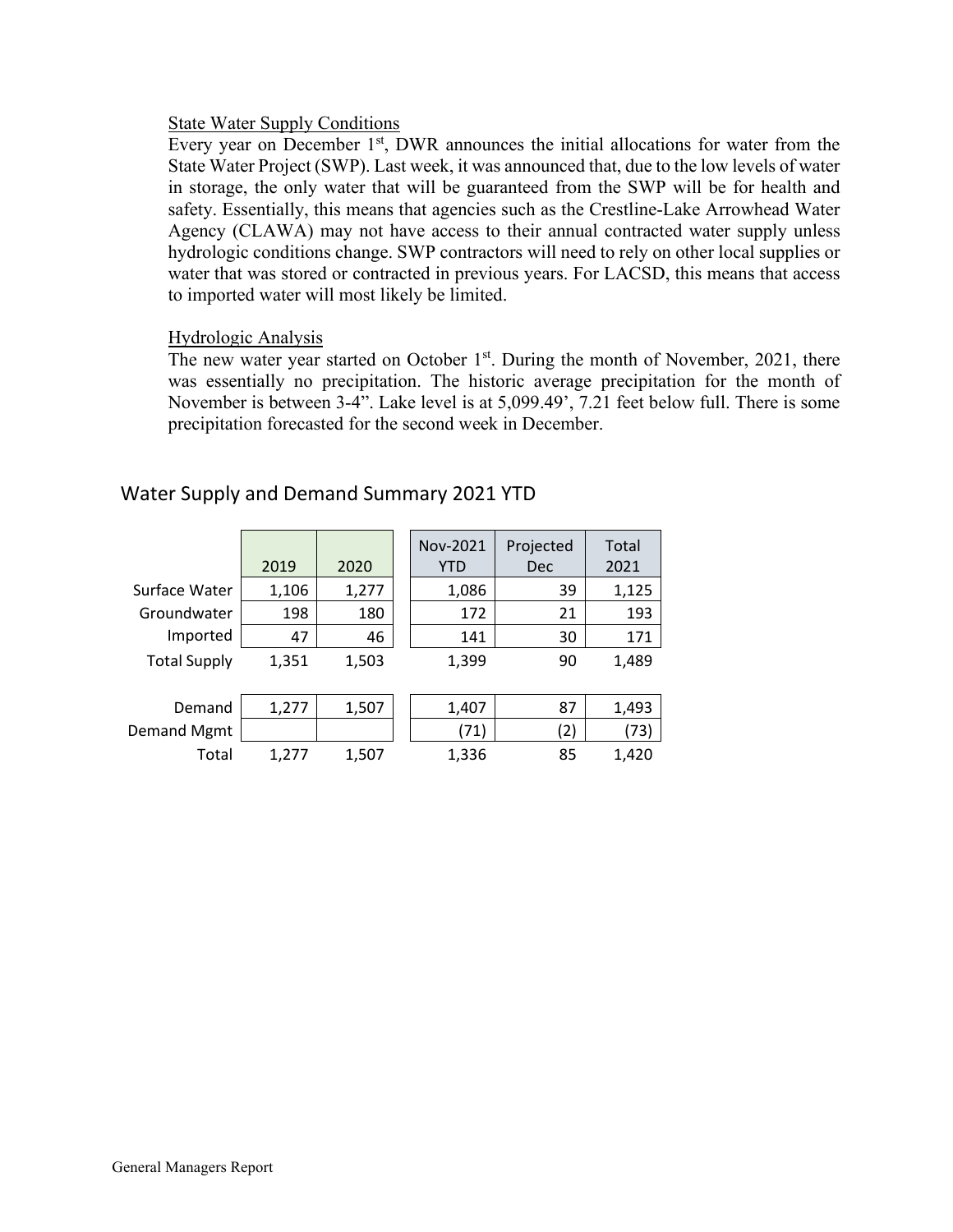#### State Water Supply Conditions

Every year on December  $1<sup>st</sup>$ , DWR announces the initial allocations for water from the State Water Project (SWP). Last week, it was announced that, due to the low levels of water in storage, the only water that will be guaranteed from the SWP will be for health and safety. Essentially, this means that agencies such as the Crestline-Lake Arrowhead Water Agency (CLAWA) may not have access to their annual contracted water supply unless hydrologic conditions change. SWP contractors will need to rely on other local supplies or water that was stored or contracted in previous years. For LACSD, this means that access to imported water will most likely be limited.

#### Hydrologic Analysis

The new water year started on October  $1<sup>st</sup>$ . During the month of November, 2021, there was essentially no precipitation. The historic average precipitation for the month of November is between 3-4". Lake level is at [5,099.49'](https://5,099.49), 7.21 feet below full. There is some precipitation forecasted for the second week in December.

|                     | 2019  | 2020  | Nov-2021<br><b>YTD</b> | Projected<br>Dec | Total<br>2021 |
|---------------------|-------|-------|------------------------|------------------|---------------|
| Surface Water       | 1,106 | 1,277 | 1,086                  | 39               | 1,125         |
| Groundwater         | 198   | 180   | 172                    | 21               | 193           |
| Imported            | 47    | 46    | 141                    | 30               | 171           |
| <b>Total Supply</b> | 1,351 | 1,503 | 1,399                  | 90               | 1,489         |
| Demand              | 1,277 | 1,507 | 1,407                  | 87               | 1,493         |
| Demand Mgmt         |       |       | (71)                   | 2)               | (73)          |
| Total               | 1,277 | 1,507 | 1,336                  | 85               | 1,420         |

### Water Supply and Demand Summary 2021 YTD